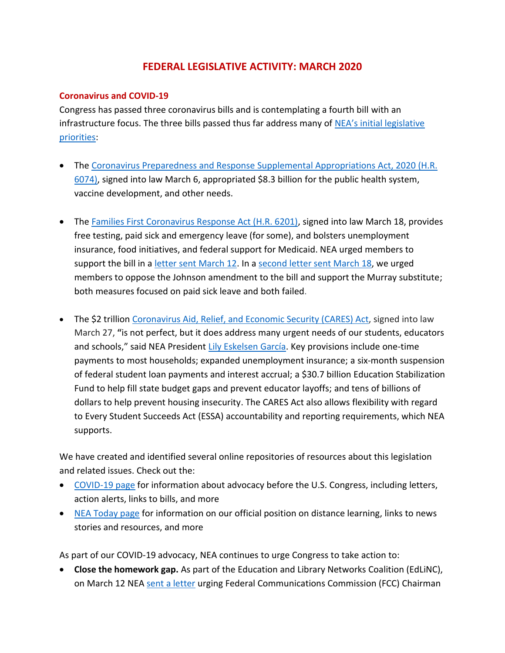# **FEDERAL LEGISLATIVE ACTIVITY: MARCH 2020**

#### **Coronavirus and COVID-19**

Congress has passed three coronavirus bills and is contemplating a fourth bill with an infrastructure focus. The three bills passed thus far address many of [NEA's initial legislative](https://educationvotes.nea.org/wp-content/uploads/2020/03/COVID-19-Legislative-Asks-Post-HR6201.pdf)  [priorities:](https://educationvotes.nea.org/wp-content/uploads/2020/03/COVID-19-Legislative-Asks-Post-HR6201.pdf)

- The [Coronavirus Preparedness and Response](https://educationvotes.nea.org/wp-content/uploads/2020/03/COVID-19-030320.pdf) Supplemental Appropriations Act, 2020 (H.R. [6074\),](https://educationvotes.nea.org/wp-content/uploads/2020/03/COVID-19-030320.pdf) signed into law March 6, appropriated \$8.3 billion for the public health system, vaccine development, and other needs.
- The [Families First Coronavirus Response Act \(H.R. 6201\),](http://neatoday.org/2020/03/19/the-families-first-coronavirus-response-act/?_ga=2.100328798.1783047493.1584920038-1012899167.1494591151) signed into law March 18, provides free testing, paid sick and emergency leave (for some), and bolsters unemployment insurance, food initiatives, and federal support for Medicaid. NEA urged members to support the bill in a [letter sent March 12.](https://educationvotes.nea.org/wp-content/uploads/2020/03/H.R.-6201-Families-First-Coronavirus-Response-Act-House-031220.pdf) In a [second letter sent March 18,](https://educationvotes.nea.org/wp-content/uploads/2020/03/Johnson-amendment-031820.pdf) we urged members to oppose the Johnson amendment to the bill and support the Murray substitute; both measures focused on paid sick leave and both failed.
- The \$2 trillion [Coronavirus Aid, Relief, and Economic Security \(CARES\)](https://educationvotes.nea.org/wp-content/uploads/2020/03/CARES-Act-Summary-March-26.pdf) Act, signed into law March 27, **"**is not perfect, but it does address many urgent needs of our students, educators and schools," said NEA President [Lily Eskelsen García.](http://www.nea.org/home/76009.htm) Key provisions include one-time payments to most households; expanded unemployment insurance; a six-month suspension of federal student loan payments and interest accrual; a \$30.7 billion Education Stabilization Fund to help fill state budget gaps and prevent educator layoffs; and tens of billions of dollars to help prevent housing insecurity. The CARES Act also allows flexibility with regard to Every Student Succeeds Act (ESSA) accountability and reporting requirements, which NEA supports.

We have created and identified several online repositories of resources about this legislation and related issues. Check out the:

- [COVID-19 page](https://educationvotes.nea.org/issue/covid-19/) for information about advocacy before the U.S. Congress, including letters, action alerts, links to bills, and more
- [NEA Today page](http://neatoday.org/2020/01/06/schools-and-coronavirus/?_ga=2.9276213.1006523993.1585580854-1012899167.1494591151) for information on our official position on distance learning, links to news stories and resources, and more

As part of our COVID-19 advocacy, NEA continues to urge Congress to take action to:

• **Close the homework gap.** As part of the Education and Library Networks Coalition (EdLiNC), on March 12 NEA [sent a letter](https://educationvotes.nea.org/wp-content/uploads/2020/03/EdLiNC-letter-to-Chairman-Pai-re-COVID-19-E-rate-Homework-Gap-3.12.2020.pdf) urging Federal Communications Commission (FCC) Chairman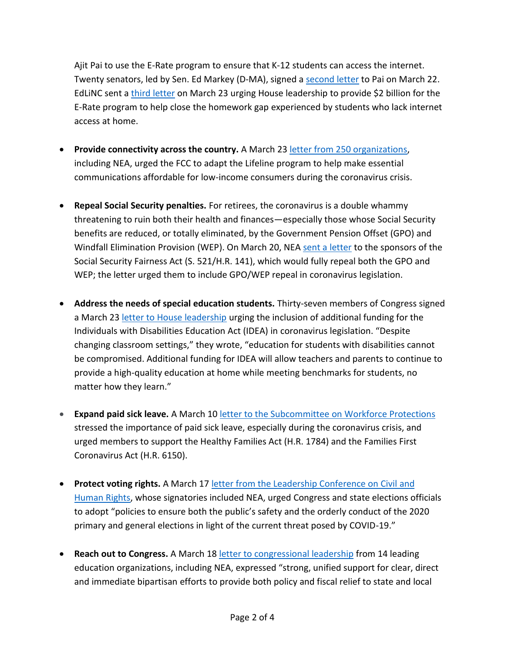Ajit Pai to use the E-Rate program to ensure that K-12 students can access the internet. Twenty senators, led by Sen. Ed Markey (D-MA), signed a [second letter](https://www.markey.senate.gov/news/press-releases/senators-markey-van-hollen-and-bennet-lead-colleagues-in-urging-gop-to-ensure-all-students-can-remotely-continue-education-during-coronavirus-emergency) to Pai on March 22. EdLiNC sent a [third letter](https://educationvotes.nea.org/wp-content/uploads/2020/03/EdLiNC-House-COVID-Letter.pdf) on March 23 urging House leadership to provide \$2 billion for the E-Rate program to help close the homework gap experienced by students who lack internet access at home.

- **Provide connectivity across the country.** A March 23 [letter from 250 organizations,](https://educationvotes.nea.org/wp-content/uploads/2020/03/Final-3-23-20-Lifeline-Emergency-Request-FCC-250-signers.pdf) including NEA, urged the FCC to adapt the Lifeline program to help make essential communications affordable for low-income consumers during the coronavirus crisis.
- **Repeal Social Security penalties.** For retirees, the coronavirus is a double whammy threatening to ruin both their health and finances—especially those whose Social Security benefits are reduced, or totally eliminated, by the Government Pension Offset (GPO) and Windfall Elimination Provision (WEP). On March 20, NEA [sent a letter](https://educationvotes.nea.org/wp-content/uploads/2020/03/GPO-WEP-repeal-032020.pdf) to the sponsors of the Social Security Fairness Act (S. 521/H.R. 141), which would fully repeal both the GPO and WEP; the letter urged them to include GPO/WEP repeal in coronavirus legislation.
- **Address the needs of special education students.** Thirty-seven members of Congress signed a March 23 [letter to House leadership](https://educationvotes.nea.org/wp-content/uploads/2020/03/Craig-Huffman-Stauber-COVID-IDEA-Letter.pdf) urging the inclusion of additional funding for the Individuals with Disabilities Education Act (IDEA) in coronavirus legislation. "Despite changing classroom settings," they wrote, "education for students with disabilities cannot be compromised. Additional funding for IDEA will allow teachers and parents to continue to provide a high-quality education at home while meeting benchmarks for students, no matter how they learn."
- **Expand paid sick leave.** A March 10 [letter to the Subcommittee on Workforce Protections](https://educationvotes.nea.org/wp-content/uploads/2020/03/HR-1784-Healthy-Families-Act-EdLabor-Sub-031020-Updated.pdf) stressed the importance of paid sick leave, especially during the coronavirus crisis, and urged members to support the Healthy Families Act (H.R. 1784) and the Families First Coronavirus Act (H.R. 6150).
- **Protect voting rights.** A March 17 [letter from the Leadership Conference on Civil and](https://educationvotes.nea.org/wp-content/uploads/2020/03/COVID-19-Coalition-Letter-updated-3.17.20.pdf)  [Human Rights,](https://educationvotes.nea.org/wp-content/uploads/2020/03/COVID-19-Coalition-Letter-updated-3.17.20.pdf) whose signatories included NEA, urged Congress and state elections officials to adopt "policies to ensure both the public's safety and the orderly conduct of the 2020 primary and general elections in light of the current threat posed by COVID-19."
- **Reach out to Congress.** A March 1[8 letter to congressional leadership](https://educationvotes.nea.org/wp-content/uploads/2020/03/Ed-Group-COVID-Letter-031720-FINAL.pdf) from 14 leading education organizations, including NEA, expressed "strong, unified support for clear, direct and immediate bipartisan efforts to provide both policy and fiscal relief to state and local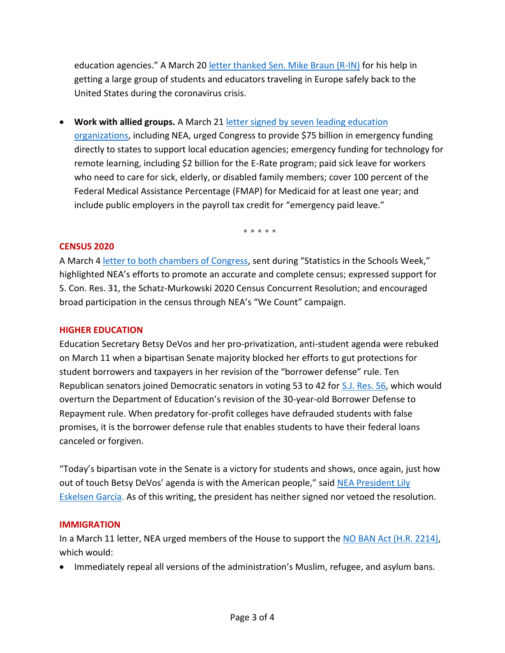education agencies." A March 20 [letter thanked Sen. Mike Braun \(R-IN\)](https://educationvotes.nea.org/wp-content/uploads/2020/03/Braun-thank-you-from-Lily.pdf) for his help in getting a large group of students and educators traveling in Europe safely back to the United States during the coronavirus crisis.

• Work with allied groups. A March 21 letter signed by seven leading education

[organizations,](https://educationvotes.nea.org/wp-content/uploads/2020/03/Big-6-Edu-Funding-COVID-032120-FINAL.pdf) including NEA, urged Congress to provide \$75 billion in emergency funding directly to states to support local education agencies; emergency funding for technology for remote learning, including \$2 billion for the E-Rate program; paid sick leave for workers who need to care for sick, elderly, or disabled family members; cover 100 percent of the Federal Medical Assistance Percentage (FMAP) for Medicaid for at least one year; and include public employers in the payroll tax credit for "emergency paid leave."

\* \* \* \* \*

#### **CENSUS 2020**

A March [4 letter to both chambers of Congress](https://educationvotes.nea.org/wp-content/uploads/2020/03/NEA-Census-Resources-030220.pdf), sent during "Statistics in the Schools Week," highlighted NEA's efforts to promote an accurate and complete census; expressed support for S. Con. Res. 31, the Schatz-Murkowski 2020 Census Concurrent Resolution; and encouraged broad participation in the census through NEA's "We Count" campaign.

### **HIGHER EDUCATION**

Education Secretary Betsy DeVos and her pro-privatization, anti-student agenda were rebuked on March 11 when a bipartisan Senate majority blocked her efforts to gut protections for student borrowers and taxpayers in her revision of the "borrower defense" rule. Ten Republican senators joined Democratic senators in voting 53 to 42 for [S.J. Res. 56,](https://www.congress.gov/bill/116th-congress/senate-joint-resolution/56) which would overturn the Department of Education's revision of the 30-year-old Borrower Defense to Repayment rule. When predatory for-profit colleges have defrauded students with false promises, it is the borrower defense rule that enables students to have their federal loans canceled or forgiven.

"Today's bipartisan vote in the Senate is a victory for students and shows, once again, just how out of touch Betsy DeVos' agenda is with the American people," said [NEA President Lily](http://www.nea.org/home/75959.htm)  [Eskelsen García.](http://www.nea.org/home/75959.htm) As of this writing, the president has neither signed nor vetoed the resolution.

#### **IMMIGRATION**

In a March 11 letter, NEA urged members of the House to support the [NO BAN Act \(H.R. 2214\),](https://educationvotes.nea.org/wp-content/uploads/2020/03/NO-BAN-Act-031120.pdf) which would:

• Immediately repeal all versions of the administration's Muslim, refugee, and asylum bans.